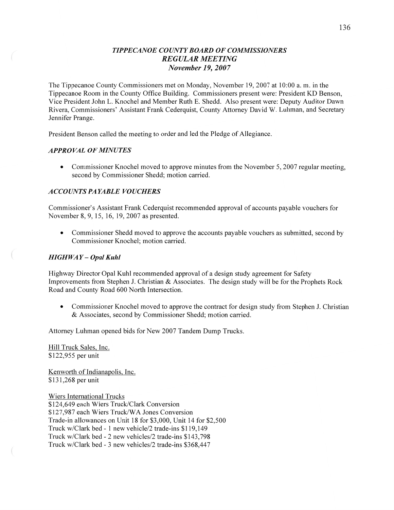# *T IPPECANOE COUNT Y BOARD* OF *COMMISSIONERS REGULAR MEETING November* 19, *2007*

The Tippecanoe County Commissioners met on Monday, November 19, 2007 at **10:00** a. m. in the Tippecanoe Room in the County Office Building. Commissioners present were: President KD Benson, Vice President John L. Knochel and Member Ruth B. Shedd. Also present were: Deputy Auditor Dawn Rivera, Commissioners' Assistant Frank Cederquist, County Attorney David W. Luhman, and Secretary Jennifer Prange.

President Benson called the meeting to order and led the Pledge of Allegiance.

### *APPROVAL* OF *MINUTES*

• Commissioner Knochel moved to approve minutes from the November 5, 2007 regular meeting, second by Commissioner Shedd; motion carried.

### *A C* CO UN *T S* PA *YABLE VOUCHERS*

Commissioner's Assistant Frank Cederquist recommended approval of accounts payable vouchers for November 8, 9, 15, 16, 19, 2007 as presented.

**0** Commissioner Shedd moved to approve the accounts payable vouchers as submitted, second by Commissioner Knochel; motion carried.

### *HIGH* WAY **—** *Opal Kuhl*

Highway Director Opal Kuhl recommended approval of a design study agreement for Safety Improvements from Stephen J. Christian & Associates. The design study will be for the Prophets Rock Road and County Road 600 North Intersection.

**0** Commissioner Knochel moved to approve the contract for design study from Stephen J. Christian & Associates, second by Commissioner Shedd; motion carried.

Attorney Luhman opened bids for New 2007 Tandem Dump Trucks.

Hill Truck Sales, Inc. \$122,955 per unit

Kenworth of Indianapolis, Inc. \$131,268 per unit

Wiers International Trucks \$124,649 each Wiers Truck/Clark Conversion \$127,987 each Wiers Truck/WA Jones Conversion Trade-in allowances 0n Unit 18 for \$3,000, Unit 14 for \$2,500 Truck w/Clark bed *-* 1 new vehicle/2 trade-ins \$119,149 Truck w/Clark bed *-* 2 new vehicles/2 trade-ins \$143,798 Truck w/Clark bed *-* 3 new vehicles/2 trade-ins \$368,447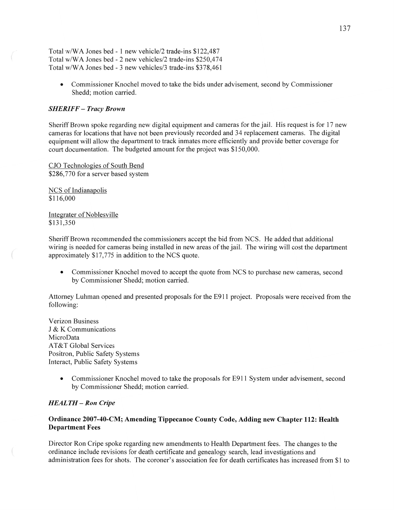Total w/WA Jones bed *-* 1 new vehicle/2 trade-ins \$122,487 Total **w/WA** Jones bed *—* 2 new vehicles/2 trade-ins \$250,474 Total w/WA Jones bed - 3 new vehicles/3 trade-ins \$378,461

**0** Commissioner Knochel moved to take the bids under advisement, second by Commissioner Shedd; motion carried.

#### *SHERIFF* **—** *Tracy Brown*

Sheriff Brown spoke regarding new digital equipment and cameras for the jail. His request is for 17 new cameras for locations that have not been previously recorded and 34 replacement cameras. The digital equipment will allow the department to track inmates more efficiently and provide better coverage for court documentation. The budgeted amount for the project was \$150,000.

CJO Technologies of South Bend \$286,770 for a server based system

NCS of Indianapolis \$1 16,000

Integrater of Noblesville \$131,350

Sheriff Brown recommended the commissioners accept the bid from NCS. He added that additional wiring is needed for cameras being installed in new areas of the jail. The wiring will cost the department approximately \$17,775 in addition to the NCS quote.

**0** Commissioner Knochel moved to accept the quote from NCS to purchase new cameras, second by Commissioner Shedd; motion carried.

Attorney Luhman opened and presented proposals for the E911 project. Proposals were received from the following:

Verizon Business I & K Communications MicroData **AT&T** Global Services Positron, Public Safety Systems Interact, Public Safety Systems

> • Commissioner Knochel moved to take the proposals for E911 System under advisement, second by Commissioner Shedd; motion carried.

### *HEALTH* — Ron *Cripe*

## **Ordinance 2007-40-CM;** Amending **Tippecanoe County Code,** Adding new **Chapter 112: Health Department Fees**

Director Ron Cripe spoke regarding new amendments to Health Department fees. The changes to the ordinance include revisions for death certificate and genealogy search, lead investigations and administration fees for shots. The coroner's association fee for death certificates has increased from \$1 to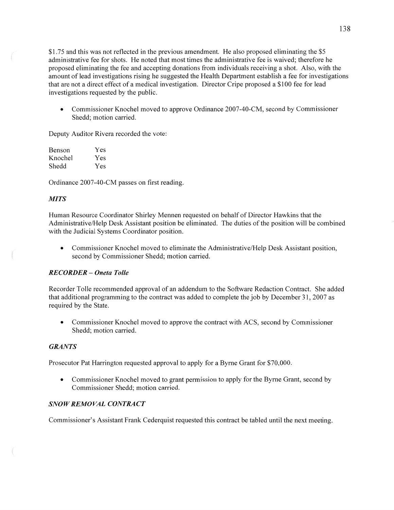\$1.75 and this was not reflected in the previous amendment. He also proposed eliminating the \$5 administrative fee for shots. He noted that most times the administrative fee is waived; therefore he proposed eliminating the fee and accepting donations from individuals receiving a **shot.** Also, with the amount of lead investigations rising he suggested the Health Department establish **a** fee for investigations that are not a direct effect of a medical investigation. Director Cripe proposed a \$100 fee for lead investigations requested by the public.

• Commissioner Knochel moved to approve Ordinance 2007-40-CM, second by Commissioner Shedd; motion carried.

Deputy Auditor Rivera recorded the vote:

| Benson  | Yes |
|---------|-----|
| Knochel | Yes |
| Shedd   | Yes |

Ordinance 2007-40-CM passes on first reading.

## *MITS*

Human Resource Coordinator Shirley Mennen requested on behalf of Director Hawkins that the Administrative/Help Desk Assistant position be eliminated. The duties of the position will be combined with the Judicial Systems Coordinator position.

**0** Commissioner Knochel moved to eliminate the Administrative/Help Desk Assistant position, second by Commissioner Shedd; motion carried.

# *RECORDER* -— *Oneta T olle*

Recorder Tolle recommended approval of an addendum to the Software Redaction Contract. She added that additional programming to the contract was added to complete the job by December 31, 2007 as required by the State.

**0** Commissioner Knochel moved to approve the contract with ACS, second by Commissioner Shedd; motion carried.

#### *GRANTS*

Prosecutor Pat Harrington requested approval to apply for a Byme Grant for \$70,000.

• Commissioner Knochel moved to grant permission to apply for the Byrne Grant, second by Commissioner Shedd; motion carried.

## *SNOWREMOVAL CONTRACT*

Commissioner's Assistant Frank Cederquist requested this contract be tabled until the next meeting.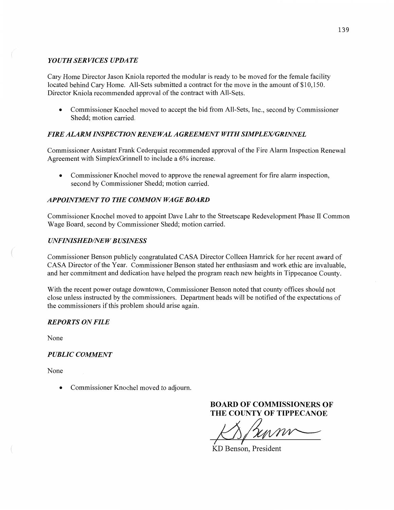# *YOUTH SERVICES UPDATE*

Cary Home Director Jason Kniola reported the modular is ready to be moved for the female facility located behind Cary Home. All-Sets submitted **a** contract for the move in the amount of \$10,150. Director Kniola recommended approval of the contract with All-Sets.

**0** Commissioner Knochel moved to accept the bid from All-Sets, Inc., second by Commissioner Shedd; **motion** carried.

# *FIRE ALARM INSPECTION RENEWAL AGREEMENT WITH SLMPLEX/GRIMVEL*

Commissioner Assistant Frank Cederquist recommended approval of the Fire Alarm Inspection Renewal Agreement with SimplexGrinnell to include a 6% increase.

• Commissioner Knochel moved to approve the renewal agreement for fire alarm inspection, second by Commissioner Shedd; motion carried.

# *APPOINTMENT* TO THE *COMMON WAGE BOARD*

Commissioner Knochel moved to appoint Dave Lahr to the Streetscape Redevelopment Phase II Common Wage Board, second by Commissioner **Shedd;** motion carried.

### *UNFINISHED/NEWBUSINESS*

Commissioner Benson publicly congratulated **CASA** Director Colleen Hamrick for her recent award of CASA Director of the Year. Commissioner Benson stated her enthusiasm and work ethic are invaluable, and her commitment and dedication have helped the program reach new heights in Tippecanoe County.

With the recent power outage downtown, Commissioner Benson noted that county offices should not close unless instructed by the commissioners. **Department** heads will be notified of the expectations of the commissioners if this problem should arise again.

## *REPORTS* ON *FILE*

None

## *PUBLIC COMMENT*

None

Commissioner Knochel moved to adjourn.

**BOARD** OF **COMMISSIONERS** OF THE **COUNTY** OF **TIPPECANOE** 

 $\beta$  funny

KD Benson, President